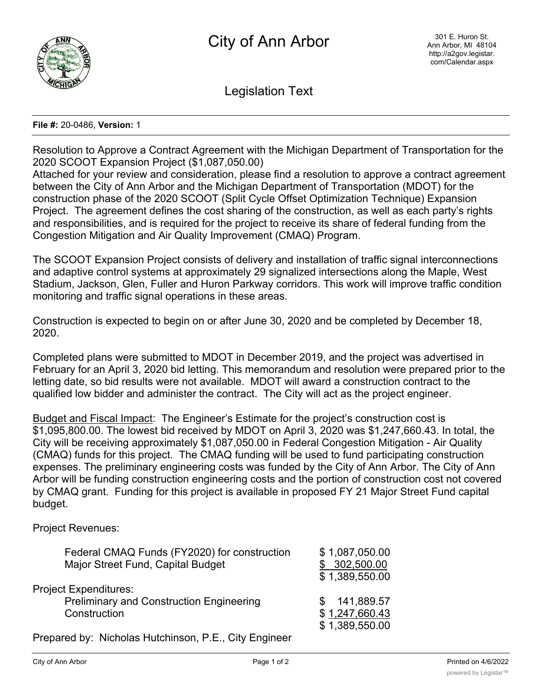

Legislation Text

## **File #:** 20-0486, **Version:** 1

Resolution to Approve a Contract Agreement with the Michigan Department of Transportation for the 2020 SCOOT Expansion Project (\$1,087,050.00)

Attached for your review and consideration, please find a resolution to approve a contract agreement between the City of Ann Arbor and the Michigan Department of Transportation (MDOT) for the construction phase of the 2020 SCOOT (Split Cycle Offset Optimization Technique) Expansion Project. The agreement defines the cost sharing of the construction, as well as each party's rights and responsibilities, and is required for the project to receive its share of federal funding from the Congestion Mitigation and Air Quality Improvement (CMAQ) Program.

The SCOOT Expansion Project consists of delivery and installation of traffic signal interconnections and adaptive control systems at approximately 29 signalized intersections along the Maple, West Stadium, Jackson, Glen, Fuller and Huron Parkway corridors. This work will improve traffic condition monitoring and traffic signal operations in these areas.

Construction is expected to begin on or after June 30, 2020 and be completed by December 18, 2020.

Completed plans were submitted to MDOT in December 2019, and the project was advertised in February for an April 3, 2020 bid letting. This memorandum and resolution were prepared prior to the letting date, so bid results were not available. MDOT will award a construction contract to the qualified low bidder and administer the contract. The City will act as the project engineer.

Budget and Fiscal Impact: The Engineer's Estimate for the project's construction cost is \$1,095,800.00. The lowest bid received by MDOT on April 3, 2020 was \$1,247,660.43. In total, the City will be receiving approximately \$1,087,050.00 in Federal Congestion Mitigation - Air Quality (CMAQ) funds for this project. The CMAQ funding will be used to fund participating construction expenses. The preliminary engineering costs was funded by the City of Ann Arbor. The City of Ann Arbor will be funding construction engineering costs and the portion of construction cost not covered by CMAQ grant. Funding for this project is available in proposed FY 21 Major Street Fund capital budget.

Project Revenues:

| Federal CMAQ Funds (FY2020) for construction    | \$1,087,050.00 |
|-------------------------------------------------|----------------|
| Major Street Fund, Capital Budget               | \$302,500.00   |
|                                                 | \$1,389,550.00 |
| <b>Project Expenditures:</b>                    |                |
| <b>Preliminary and Construction Engineering</b> | \$141,889.57   |
| Construction                                    | \$1,247,660.43 |
|                                                 | \$1,389,550.00 |
|                                                 |                |

Prepared by: Nicholas Hutchinson, P.E., City Engineer